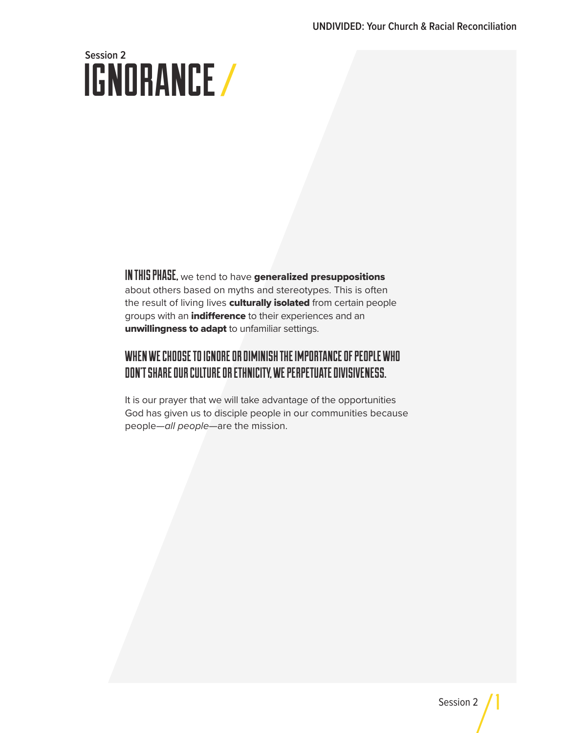# IGNORANCE **Session 2**

IN THIS PHASE, we tend to have generalized presuppositions about others based on myths and stereotypes. This is often the result of living lives culturally isolated from certain people groups with an *indifference* to their experiences and an unwillingness to adapt to unfamiliar settings.

### WHEN WE CHOOSE TO IGNORE OR DIMINISH THE IMPORTANCE OF PEOPLE WHO DON'T SHARE OUR CULTURE OR ETHNICITY, WE PERPETUATE DIVISIVENESS.

It is our prayer that we will take advantage of the opportunities God has given us to disciple people in our communities because people—*all people*—are the mission.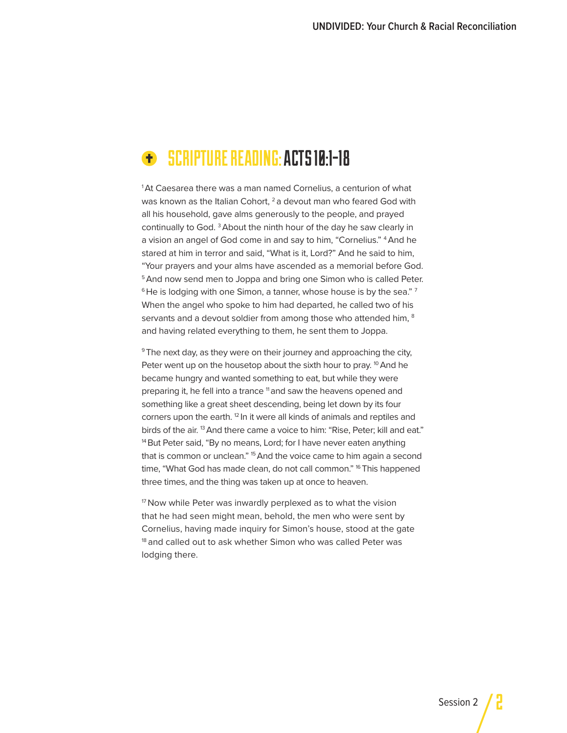## SCRIPTURE READING: ACTS 10:1-18

<sup>1</sup>At Caesarea there was a man named Cornelius, a centurion of what was known as the Italian Cohort,  $2a$  devout man who feared God with all his household, gave alms generously to the people, and prayed continually to God. 3 About the ninth hour of the day he saw clearly in a vision an angel of God come in and say to him, "Cornelius." 4 And he stared at him in terror and said, "What is it, Lord?" And he said to him, "Your prayers and your alms have ascended as a memorial before God. <sup>5</sup> And now send men to Joppa and bring one Simon who is called Peter.  $6$  He is lodging with one Simon, a tanner, whose house is by the sea."  $7$ When the angel who spoke to him had departed, he called two of his servants and a devout soldier from among those who attended him, <sup>8</sup> and having related everything to them, he sent them to Joppa.

<sup>9</sup> The next day, as they were on their journey and approaching the city, Peter went up on the housetop about the sixth hour to pray. <sup>10</sup> And he became hungry and wanted something to eat, but while they were preparing it, he fell into a trance <sup>11</sup> and saw the heavens opened and something like a great sheet descending, being let down by its four corners upon the earth.<sup>12</sup> In it were all kinds of animals and reptiles and birds of the air. 13 And there came a voice to him: "Rise, Peter; kill and eat." <sup>14</sup> But Peter said, "By no means, Lord; for I have never eaten anything that is common or unclean." <sup>15</sup> And the voice came to him again a second time, "What God has made clean, do not call common." <sup>16</sup> This happened three times, and the thing was taken up at once to heaven.

<sup>17</sup> Now while Peter was inwardly perplexed as to what the vision that he had seen might mean, behold, the men who were sent by Cornelius, having made inquiry for Simon's house, stood at the gate <sup>18</sup> and called out to ask whether Simon who was called Peter was lodging there.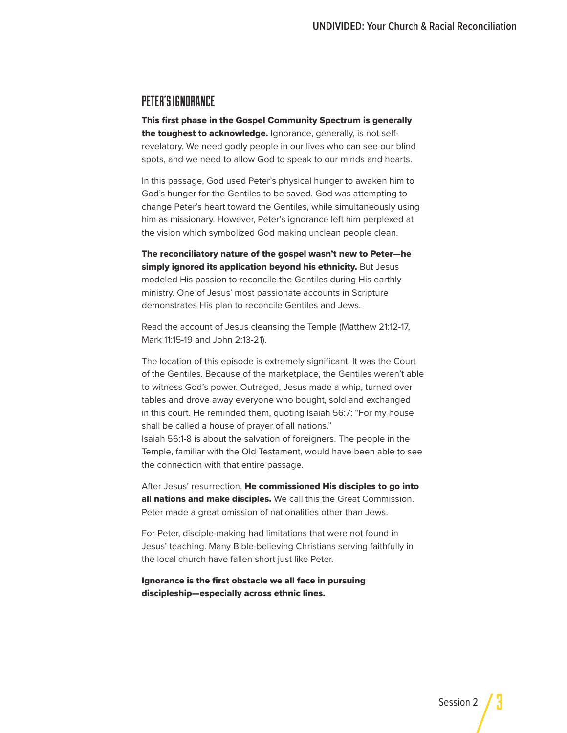#### PETER'S IGNORANCE

This first phase in the Gospel Community Spectrum is generally the toughest to acknowledge. Ignorance, generally, is not selfrevelatory. We need godly people in our lives who can see our blind spots, and we need to allow God to speak to our minds and hearts.

In this passage, God used Peter's physical hunger to awaken him to God's hunger for the Gentiles to be saved. God was attempting to change Peter's heart toward the Gentiles, while simultaneously using him as missionary. However, Peter's ignorance left him perplexed at the vision which symbolized God making unclean people clean.

The reconciliatory nature of the gospel wasn't new to Peter—he simply ignored its application beyond his ethnicity. But Jesus modeled His passion to reconcile the Gentiles during His earthly ministry. One of Jesus' most passionate accounts in Scripture demonstrates His plan to reconcile Gentiles and Jews.

Read the account of Jesus cleansing the Temple (Matthew 21:12-17, Mark 11:15-19 and John 2:13-21).

The location of this episode is extremely significant. It was the Court of the Gentiles. Because of the marketplace, the Gentiles weren't able to witness God's power. Outraged, Jesus made a whip, turned over tables and drove away everyone who bought, sold and exchanged in this court. He reminded them, quoting Isaiah 56:7: "For my house shall be called a house of prayer of all nations." Isaiah 56:1-8 is about the salvation of foreigners. The people in the Temple, familiar with the Old Testament, would have been able to see the connection with that entire passage.

After Jesus' resurrection, He commissioned His disciples to go into all nations and make disciples. We call this the Great Commission. Peter made a great omission of nationalities other than Jews.

For Peter, disciple-making had limitations that were not found in Jesus' teaching. Many Bible-believing Christians serving faithfully in the local church have fallen short just like Peter.

Ignorance is the first obstacle we all face in pursuing discipleship—especially across ethnic lines.